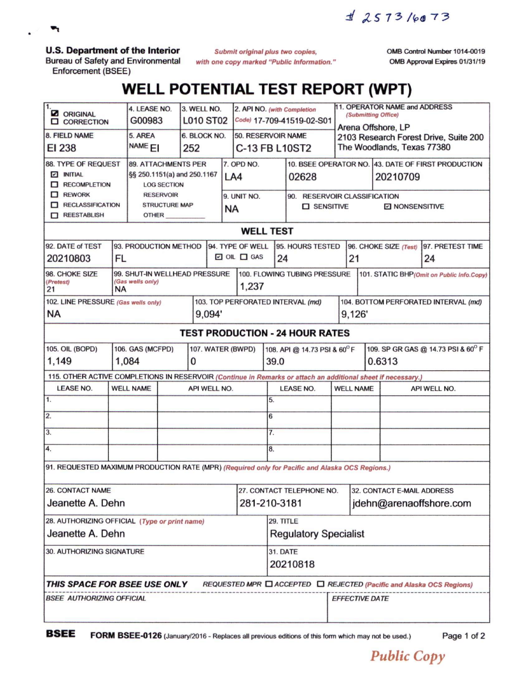^ */'po-rj'*

**U.S. Department of the Interior**

 $\mathbf{v}_1$ 

 $\ddot{\phantom{0}}$ 

Bureau of Safety and Environmental Enforcement (BSEE)

*Submit original plus two copies, with one copy marked "Public Information*." OMB Control Number 1014-0019 OMB Approval Expires 01/31/19

## **WELL POTENTIAL TEST REPORT (WPT)**

| $\overline{1}$ .<br><b>Z</b> ORIGINAL<br><b>Q</b> CORRECTION                                                 |                                                                                                                                | 4. LEASE NO.<br>G00983                 |  | 3. WELL NO.<br><b>L010 ST02</b> |                                   | 2. API NO. (with Completion<br>Code) 17-709-41519-02-S01 |                             |                                                         |                     | 11. OPERATOR NAME and ADDRESS<br>(Submitting Office) |                                                             |                              |                                    |    |  |  |
|--------------------------------------------------------------------------------------------------------------|--------------------------------------------------------------------------------------------------------------------------------|----------------------------------------|--|---------------------------------|-----------------------------------|----------------------------------------------------------|-----------------------------|---------------------------------------------------------|---------------------|------------------------------------------------------|-------------------------------------------------------------|------------------------------|------------------------------------|----|--|--|
| 8. FIELD NAME                                                                                                |                                                                                                                                | 5. AREA                                |  | 6. BLOCK NO.                    |                                   |                                                          | 50. RESERVOIR NAME          |                                                         |                     |                                                      | Arena Offshore, LP<br>2103 Research Forest Drive, Suite 200 |                              |                                    |    |  |  |
| EI 238                                                                                                       |                                                                                                                                | NAME <sub>EI</sub><br>252              |  |                                 |                                   |                                                          |                             | C-13 FB L10ST2                                          |                     | The Woodlands, Texas 77380                           |                                                             |                              |                                    |    |  |  |
| 88. TYPE OF REQUEST                                                                                          | <b>89. ATTACHMENTS PER</b>                                                                                                     |                                        |  |                                 | 7. OPD NO.                        |                                                          |                             |                                                         |                     | 10. BSEE OPERATOR NO. 43. DATE OF FIRST PRODUCTION   |                                                             |                              |                                    |    |  |  |
| $\boxed{\sim}$ INITIAL                                                                                       | §§ 250.1151(a) and 250.1167                                                                                                    |                                        |  |                                 | LA4                               |                                                          |                             | 02628                                                   |                     | 20210709                                             |                                                             |                              |                                    |    |  |  |
| RECOMPLETION<br>$\Box$ REWORK                                                                                |                                                                                                                                | <b>LOG SECTION</b><br><b>RESERVOIR</b> |  |                                 |                                   |                                                          |                             |                                                         |                     |                                                      |                                                             |                              |                                    |    |  |  |
| <b>RECLASSIFICATION</b>                                                                                      |                                                                                                                                | <b>STRUCTURE MAP</b>                   |  |                                 |                                   | 9. UNIT NO.                                              |                             |                                                         | $\square$ SENSITIVE |                                                      |                                                             | 90. RESERVOIR CLASSIFICATION |                                    |    |  |  |
| <b>TEESTABLISH</b>                                                                                           |                                                                                                                                | <b>OTHER</b>                           |  |                                 |                                   | <b>NA</b>                                                |                             |                                                         |                     |                                                      | <b>E NONSENSITIVE</b>                                       |                              |                                    |    |  |  |
|                                                                                                              | <b>WELL TEST</b>                                                                                                               |                                        |  |                                 |                                   |                                                          |                             |                                                         |                     |                                                      |                                                             |                              |                                    |    |  |  |
|                                                                                                              | 94. TYPE OF WELL<br>92. DATE of TEST<br>93. PRODUCTION METHOD<br>95. HOURS TESTED<br>96. CHOKE SIZE (Test)<br>97. PRETEST TIME |                                        |  |                                 |                                   |                                                          |                             |                                                         |                     |                                                      |                                                             |                              |                                    |    |  |  |
|                                                                                                              |                                                                                                                                |                                        |  |                                 |                                   |                                                          | $\Box$ OIL $\Box$ GAS<br>24 |                                                         |                     |                                                      |                                                             |                              |                                    |    |  |  |
| 20210803<br><b>FL</b>                                                                                        |                                                                                                                                |                                        |  |                                 |                                   |                                                          |                             |                                                         |                     |                                                      | 21                                                          |                              |                                    | 24 |  |  |
| 98. CHOKE SIZE<br>99. SHUT-IN WELLHEAD PRESSURE<br>100. FLOWING TUBING PRESSURE                              |                                                                                                                                |                                        |  |                                 |                                   |                                                          |                             |                                                         |                     | 101. STATIC BHP(Omit on Public Info.Copy)            |                                                             |                              |                                    |    |  |  |
| (Gas wells only)<br>(Pretest)<br><b>NA</b><br>21                                                             |                                                                                                                                |                                        |  |                                 |                                   | 1,237                                                    |                             |                                                         |                     |                                                      |                                                             |                              |                                    |    |  |  |
| 102. LINE PRESSURE (Gas wells only)                                                                          |                                                                                                                                |                                        |  |                                 | 103. TOP PERFORATED INTERVAL (md) |                                                          |                             |                                                         |                     |                                                      | 104. BOTTOM PERFORATED INTERVAL (md)                        |                              |                                    |    |  |  |
| NA                                                                                                           |                                                                                                                                |                                        |  |                                 | 9,094'                            |                                                          |                             |                                                         |                     |                                                      | 9,126                                                       |                              |                                    |    |  |  |
| <b>TEST PRODUCTION - 24 HOUR RATES</b>                                                                       |                                                                                                                                |                                        |  |                                 |                                   |                                                          |                             |                                                         |                     |                                                      |                                                             |                              |                                    |    |  |  |
| <b>105. OIL (BOPD)</b><br>106. GAS (MCFPD)<br>107. WATER (BWPD)                                              |                                                                                                                                |                                        |  |                                 |                                   |                                                          |                             |                                                         |                     | 108. API @ 14.73 PSI & 60°F                          |                                                             |                              | 109. SP GR GAS @ 14.73 PSI & 60° F |    |  |  |
| 1,149<br>1,084                                                                                               |                                                                                                                                |                                        |  |                                 | 0                                 |                                                          |                             |                                                         | 39.0                |                                                      |                                                             | 0.6313                       |                                    |    |  |  |
| 115. OTHER ACTIVE COMPLETIONS IN RESERVOIR (Continue in Remarks or attach an additional sheet if necessary.) |                                                                                                                                |                                        |  |                                 |                                   |                                                          |                             |                                                         |                     |                                                      |                                                             |                              |                                    |    |  |  |
| <b>LEASE NO.</b>                                                                                             |                                                                                                                                | <b>WELL NAME</b>                       |  |                                 | API WELL NO.                      |                                                          |                             | <b>LEASE NO.</b>                                        |                     |                                                      | <b>WELL NAME</b>                                            |                              | API WELL NO.                       |    |  |  |
| 1.                                                                                                           |                                                                                                                                |                                        |  |                                 |                                   |                                                          | 5.                          |                                                         |                     |                                                      |                                                             |                              |                                    |    |  |  |
| $\overline{2}$ .                                                                                             |                                                                                                                                |                                        |  |                                 |                                   |                                                          | 6                           |                                                         |                     |                                                      |                                                             |                              |                                    |    |  |  |
| 3.                                                                                                           |                                                                                                                                |                                        |  |                                 |                                   |                                                          |                             |                                                         | 7.                  |                                                      |                                                             |                              |                                    |    |  |  |
| 4.                                                                                                           |                                                                                                                                |                                        |  |                                 |                                   |                                                          |                             | 8.                                                      |                     |                                                      |                                                             |                              |                                    |    |  |  |
| 91. REQUESTED MAXIMUM PRODUCTION RATE (MPR) (Required only for Pacific and Alaska OCS Regions.)              |                                                                                                                                |                                        |  |                                 |                                   |                                                          |                             |                                                         |                     |                                                      |                                                             |                              |                                    |    |  |  |
| <b>26. CONTACT NAME</b>                                                                                      |                                                                                                                                |                                        |  |                                 |                                   |                                                          |                             | 32. CONTACT E-MAIL ADDRESS<br>27. CONTACT TELEPHONE NO. |                     |                                                      |                                                             |                              |                                    |    |  |  |
| 281-210-3181<br>Jeanette A. Dehn                                                                             |                                                                                                                                |                                        |  |                                 |                                   |                                                          |                             |                                                         |                     | jdehn@arenaoffshore.com                              |                                                             |                              |                                    |    |  |  |
| 28. AUTHORIZING OFFICIAL (Type or print name)                                                                |                                                                                                                                |                                        |  |                                 |                                   |                                                          |                             |                                                         | 29. TITLE           |                                                      |                                                             |                              |                                    |    |  |  |
| Jeanette A. Dehn                                                                                             |                                                                                                                                |                                        |  |                                 |                                   |                                                          |                             | <b>Regulatory Specialist</b>                            |                     |                                                      |                                                             |                              |                                    |    |  |  |
| 30. AUTHORIZING SIGNATURE                                                                                    |                                                                                                                                |                                        |  |                                 |                                   |                                                          |                             | 31. DATE                                                |                     |                                                      |                                                             |                              |                                    |    |  |  |
|                                                                                                              |                                                                                                                                |                                        |  |                                 |                                   |                                                          |                             |                                                         | 20210818            |                                                      |                                                             |                              |                                    |    |  |  |
| THIS SPACE FOR BSEE USE ONLY<br>REQUESTED MPR □ ACCEPTED □ REJECTED (Pacific and Alaska OCS Regions)         |                                                                                                                                |                                        |  |                                 |                                   |                                                          |                             |                                                         |                     |                                                      |                                                             |                              |                                    |    |  |  |
|                                                                                                              | <b>BSEE AUTHORIZING OFFICIAL</b>                                                                                               |                                        |  |                                 |                                   |                                                          |                             |                                                         |                     |                                                      |                                                             |                              | <b>EFFECTIVE DATE</b>              |    |  |  |
|                                                                                                              |                                                                                                                                |                                        |  |                                 |                                   |                                                          |                             |                                                         |                     |                                                      |                                                             |                              |                                    |    |  |  |

**BSEE FORM BSEE-0126** (January/2016 - Replaces all previous editions of this form which may not be used.) Page <sup>1</sup> of <sup>2</sup>

*Public Copy*